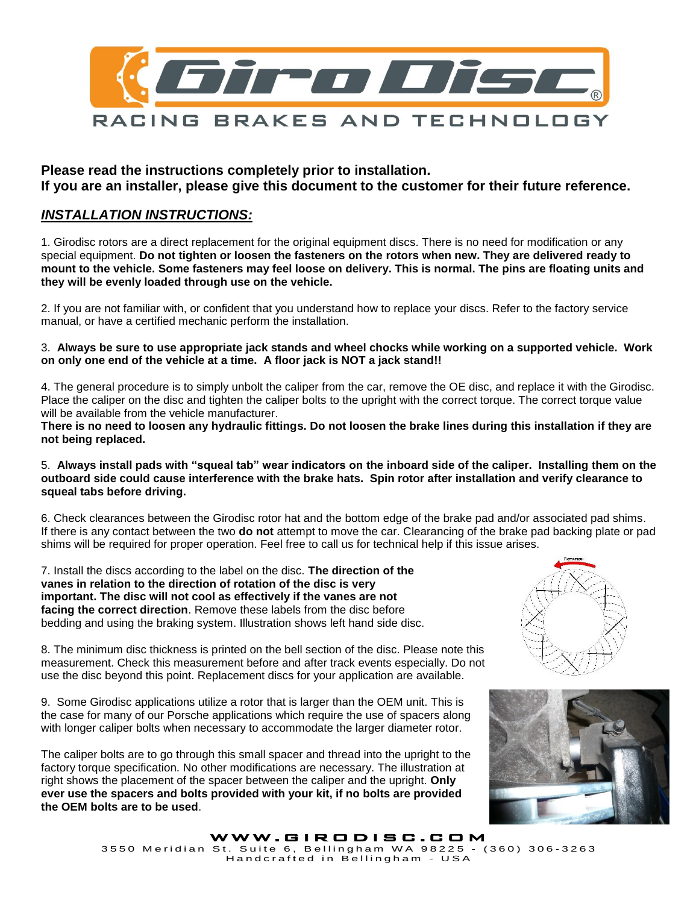

**Please read the instructions completely prior to installation. If you are an installer, please give this document to the customer for their future reference.**

## *INSTALLATION INSTRUCTIONS:*

1. Girodisc rotors are a direct replacement for the original equipment discs. There is no need for modification or any special equipment. **Do not tighten or loosen the fasteners on the rotors when new. They are delivered ready to mount to the vehicle. Some fasteners may feel loose on delivery. This is normal. The pins are floating units and they will be evenly loaded through use on the vehicle.**

2. If you are not familiar with, or confident that you understand how to replace your discs. Refer to the factory service manual, or have a certified mechanic perform the installation.

3. **Always be sure to use appropriate jack stands and wheel chocks while working on a supported vehicle. Work on only one end of the vehicle at a time. A floor jack is NOT a jack stand!!**

4. The general procedure is to simply unbolt the caliper from the car, remove the OE disc, and replace it with the Girodisc. Place the caliper on the disc and tighten the caliper bolts to the upright with the correct torque. The correct torque value will be available from the vehicle manufacturer.

**There is no need to loosen any hydraulic fittings. Do not loosen the brake lines during this installation if they are not being replaced.**

5. **Always install pads with "squeal tab" wear indicators on the inboard side of the caliper. Installing them on the outboard side could cause interference with the brake hats. Spin rotor after installation and verify clearance to squeal tabs before driving.**

6. Check clearances between the Girodisc rotor hat and the bottom edge of the brake pad and/or associated pad shims. If there is any contact between the two **do not** attempt to move the car. Clearancing of the brake pad backing plate or pad shims will be required for proper operation. Feel free to call us for technical help if this issue arises.

7. Install the discs according to the label on the disc. **The direction of the vanes in relation to the direction of rotation of the disc is very important. The disc will not cool as effectively if the vanes are not facing the correct direction**. Remove these labels from the disc before bedding and using the braking system. Illustration shows left hand side disc.



8. The minimum disc thickness is printed on the bell section of the disc. Please note this measurement. Check this measurement before and after track events especially. Do not use the disc beyond this point. Replacement discs for your application are available.

9. Some Girodisc applications utilize a rotor that is larger than the OEM unit. This is the case for many of our Porsche applications which require the use of spacers along with longer caliper bolts when necessary to accommodate the larger diameter rotor.

The caliper bolts are to go through this small spacer and thread into the upright to the factory torque specification. No other modifications are necessary. The illustration at right shows the placement of the spacer between the caliper and the upright. **Only ever use the spacers and bolts provided with your kit, if no bolts are provided the OEM bolts are to be used**.



WWW.GIRODISC.COM 3550 Meridian St. Suite 6, Bellingham WA 98225 - (360) 306-3263 . Cano 6, Donnigham III, SSILS<br>Handcrafted in Bellingham – USA